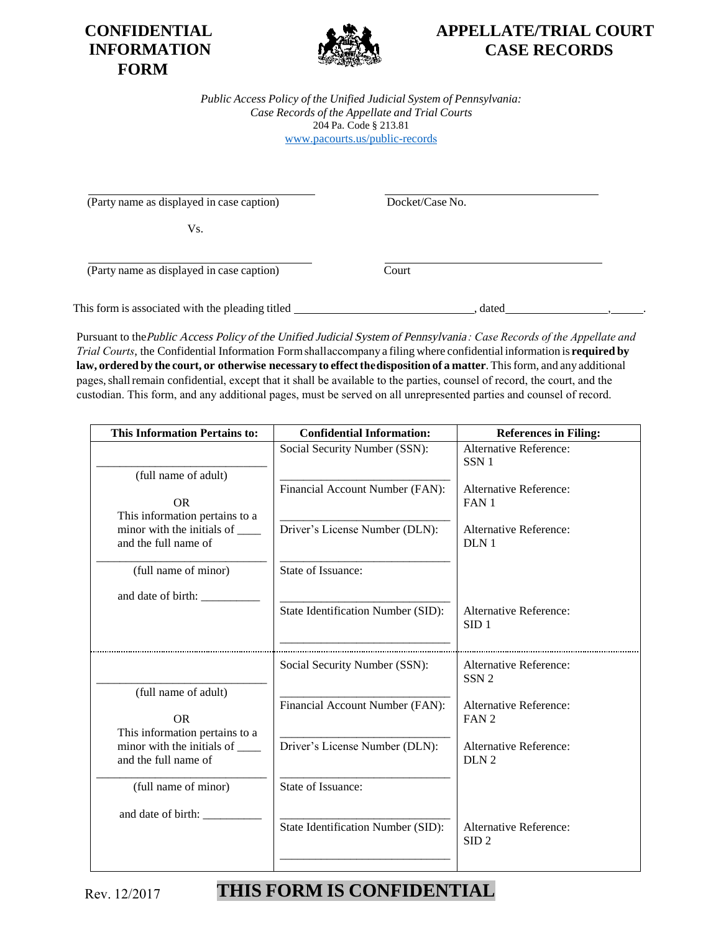



### **APPELLATE/TRIAL COURT CASE RECORDS**

*Public Access Policy of the Unified Judicial System of Pennsylvania: Case Records of the Appellate and Trial Courts* 204 Pa. Code § 213.81 [www.pacourts.us/public-record](http://www.pacourts.us/public-record-policies)s

(Party name as displayed in case caption) Docket/Case No.

Vs.

(Party name as displayed in case caption) Court

This form is associated with the pleading titled , dated , .

Pursuant to the Public Access Policy of the Unified Judicial System of Pennsylvania *: Case Records of the Appellate and Trial Courts*, the Confidential Information Form shall accompany a filing where confidential information is **required by law, ordered by the court, or otherwise necessary to effect the disposition of a matter**. This form, and any additional pages, shall remain confidential, except that it shall be available to the parties, counsel of record, the court, and the custodian. This form, and any additional pages, must be served on all unrepresented parties and counsel of record.

| This Information Pertains to:                                                                                                    | <b>Confidential Information:</b>                                                                   | <b>References in Filing:</b>                                                                                                              |
|----------------------------------------------------------------------------------------------------------------------------------|----------------------------------------------------------------------------------------------------|-------------------------------------------------------------------------------------------------------------------------------------------|
| (full name of adult)<br><b>OR</b><br>This information pertains to a<br>minor with the initials of ______<br>and the full name of | Social Security Number (SSN):<br>Financial Account Number (FAN):<br>Driver's License Number (DLN): | Alternative Reference:<br>SSN <sub>1</sub><br><b>Alternative Reference:</b><br>FAN <sub>1</sub><br><b>Alternative Reference:</b><br>DLN 1 |
| (full name of minor)                                                                                                             | State of Issuance:                                                                                 |                                                                                                                                           |
| and date of birth:                                                                                                               | State Identification Number (SID):                                                                 | <b>Alternative Reference:</b><br>SID <sub>1</sub>                                                                                         |
|                                                                                                                                  | Social Security Number (SSN):                                                                      | Alternative Reference:<br>SSN <sub>2</sub>                                                                                                |
| (full name of adult)<br><b>OR</b>                                                                                                | Financial Account Number (FAN):                                                                    | Alternative Reference:<br>FAN <sub>2</sub>                                                                                                |
| This information pertains to a<br>minor with the initials of _______<br>and the full name of                                     | Driver's License Number (DLN):                                                                     | Alternative Reference:<br>DLN <sub>2</sub>                                                                                                |
| (full name of minor)                                                                                                             | State of Issuance:                                                                                 |                                                                                                                                           |
| and date of birth:                                                                                                               | <b>State Identification Number (SID):</b>                                                          | <b>Alternative Reference:</b><br>SID <sub>2</sub>                                                                                         |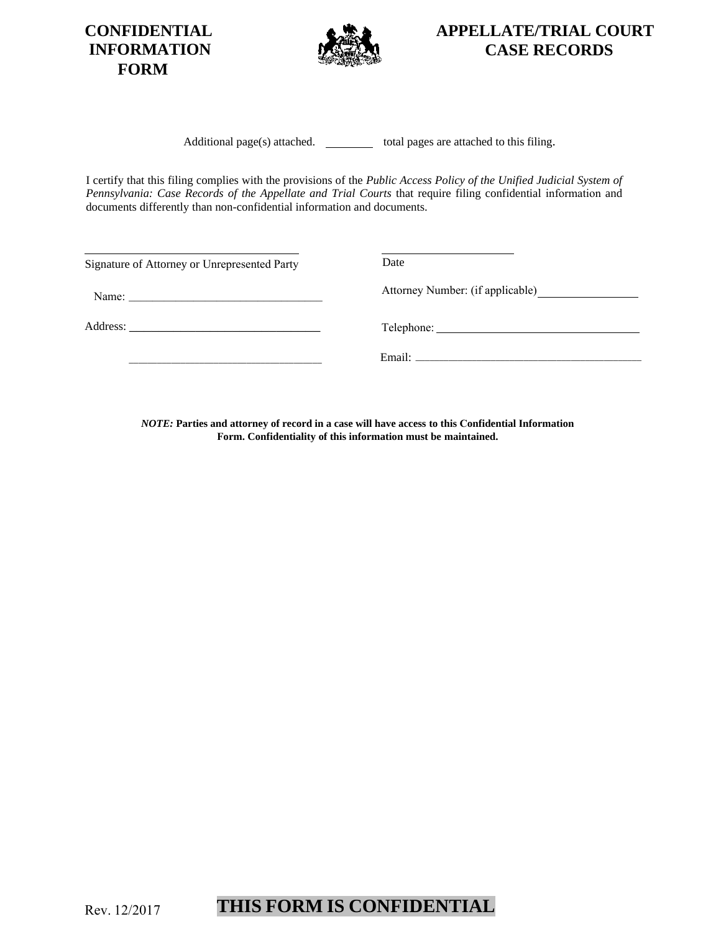**CONFIDENTIAL INFORMATION FORM**



**APPELLATE/TRIAL COURT CASE RECORDS**

Additional page(s) attached.  $\qquad \qquad$  total pages are attached to this filing.

I certify that this filing complies with the provisions of the *Public Access Policy of the Unified Judicial System of Pennsylvania: Case Records of the Appellate and Trial Courts that require filing confidential information and* documents differently than non-confidential information and documents.

| Signature of Attorney or Unrepresented Party | Date                             |
|----------------------------------------------|----------------------------------|
|                                              | Attorney Number: (if applicable) |
|                                              |                                  |
|                                              | Email: Email:                    |

*NOTE:* **Parties and attorney of record in a case will have access to this Confidential Information Form. Confidentiality of this information must be maintained.**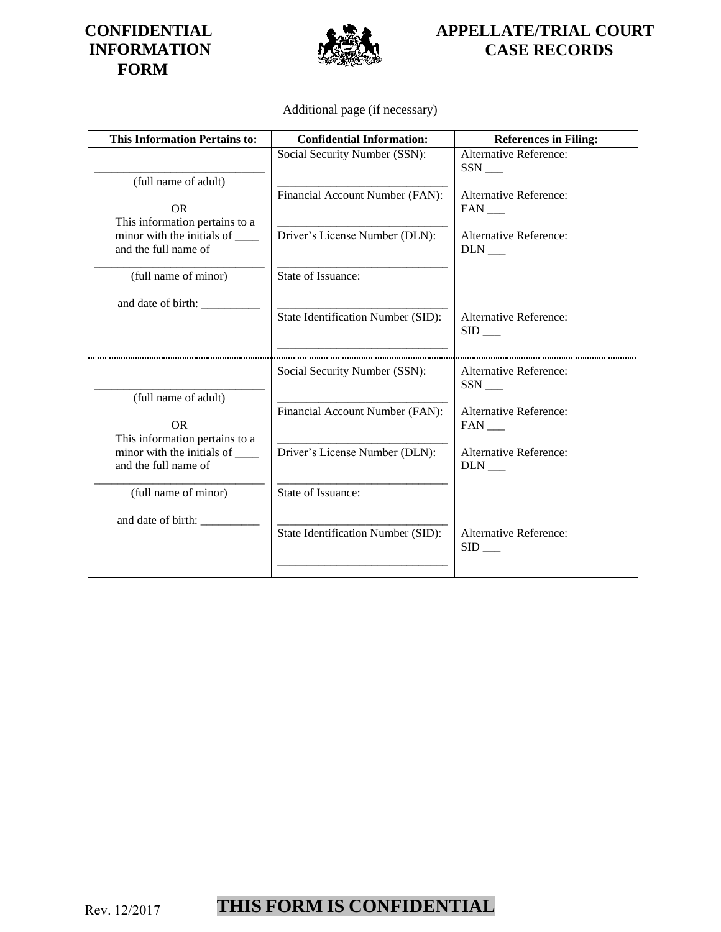#### **CONFIDENTIAL INFORMATION FORM**



# **APPELLATE/TRIAL COURT CASE RECORDS**

#### Additional page (if necessary)

| <b>This Information Pertains to:</b>                          | <b>Confidential Information:</b>   | <b>References in Filing:</b>                          |
|---------------------------------------------------------------|------------------------------------|-------------------------------------------------------|
| (full name of adult)                                          | Social Security Number (SSN):      | Alternative Reference:<br>SSN                         |
| <b>OR</b><br>This information pertains to a                   | Financial Account Number (FAN):    | <b>Alternative Reference:</b><br>FAN                  |
| minor with the initials of _______<br>and the full name of    | Driver's License Number (DLN):     | <b>Alternative Reference:</b><br>$DLN$ <sub>___</sub> |
| (full name of minor)                                          | State of Issuance:                 |                                                       |
|                                                               | State Identification Number (SID): | <b>Alternative Reference:</b>                         |
|                                                               |                                    | $SID$ <sub>___</sub>                                  |
|                                                               | Social Security Number (SSN):      | <b>Alternative Reference:</b><br>SSN                  |
| (full name of adult)<br>OR.<br>This information pertains to a | Financial Account Number (FAN):    | <b>Alternative Reference:</b><br>FAN                  |
| minor with the initials of _______<br>and the full name of    | Driver's License Number (DLN):     | <b>Alternative Reference:</b><br><b>DLN</b>           |
| (full name of minor)                                          | State of Issuance:                 |                                                       |
| and date of birth: ___________                                | State Identification Number (SID): | Alternative Reference:<br>$SID$ <sub>___</sub>        |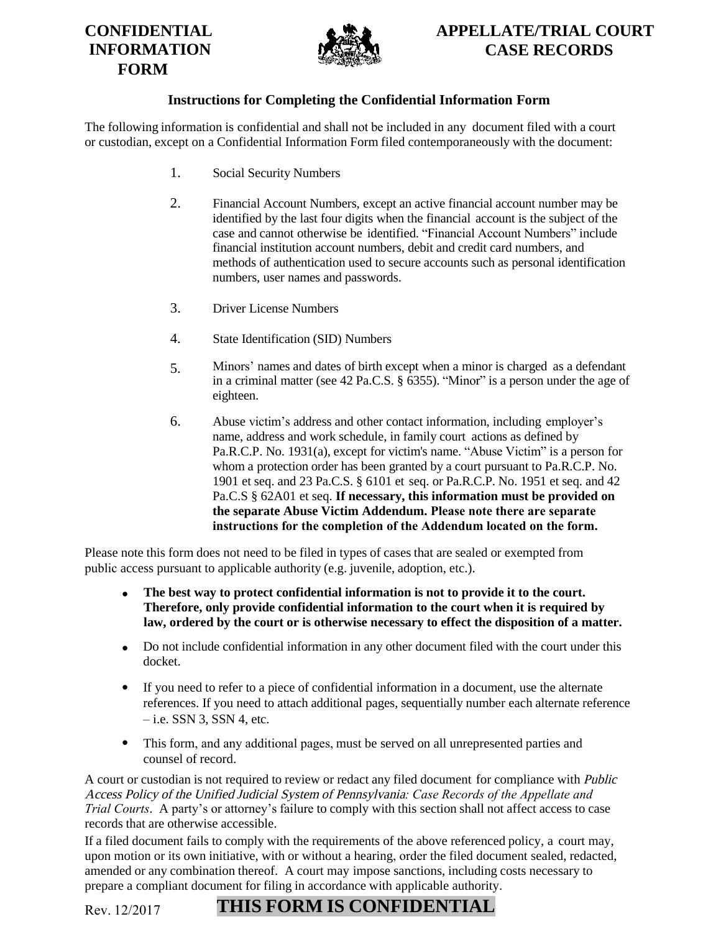### **CONFIDENTIAL INFORMATION FORM**



# **APPELLATE/TRIAL COURT CASE RECORDS**

#### **Instructions for Completing the Confidential Information Form**

The following information is confidential and shall not be included in any document filed with a court or custodian, except on a Confidential Information Form filed contemporaneously with the document:

- 1. Social Security Numbers
- 2. Financial Account Numbers, except an active financial account number may be identified by the last four digits when the financial account is the subject of the case and cannot otherwise be identified. "Financial Account Numbers" include financial institution account numbers, debit and credit card numbers, and methods of authentication used to secure accounts such as personal identification numbers, user names and passwords.
- 3. Driver License Numbers
- 4. State Identification (SID) Numbers
- 5. Minors' names and dates of birth except when a minor is charged as a defendant in a criminal matter (see 42 Pa.C.S. § 6355). "Minor" is a person under the age of eighteen.
- 6. Abuse victim's address and other contact information, including employer's name, address and work schedule, in family court actions as defined by Pa.R.C.P. No. 1931(a), except for victim's name. "Abuse Victim" is a person for whom a protection order has been granted by a court pursuant to Pa.R.C.P. No. 1901 et seq. and 23 Pa.C.S. § 6101 et seq. or Pa.R.C.P. No. 1951 et seq. and 42 Pa.C.S § 62A01 et seq. **If necessary, this information must be provided on the separate Abuse Victim Addendum. Please note there are separate instructions for the completion of the Addendum located on the form.**

Please note this form does not need to be filed in types of cases that are sealed or exempted from public access pursuant to applicable authority (e.g. juvenile, adoption, etc.).

- **The best way to protect confidential information is not to provide it to the court. Therefore, only provide confidential information to the court when it is required by law, ordered by the court or is otherwise necessary to effect the disposition of a matter.**
- Do not include confidential information in any other document filed with the court under this docket.
- If you need to refer to a piece of confidential information in a document, use the alternate references. If you need to attach additional pages, sequentially number each alternate reference  $-$  i.e. SSN 3, SSN 4, etc.
- This form, and any additional pages, must be served on all unrepresented parties and counsel of record.

A court or custodian is not required to review or redact any filed document for compliance with Public Access Policy of the Unified Judicial System of Pennsylvania*: Case Records of the Appellate and Trial Courts*. A party's or attorney's failure to comply with this section shall not affect access to case records that are otherwise accessible.

If a filed document fails to comply with the requirements of the above referenced policy, a court may, upon motion or its own initiative, with or without a hearing, order the filed document sealed, redacted, amended or any combination thereof. A court may impose sanctions, including costs necessary to prepare a compliant document for filing in accordance with applicable authority.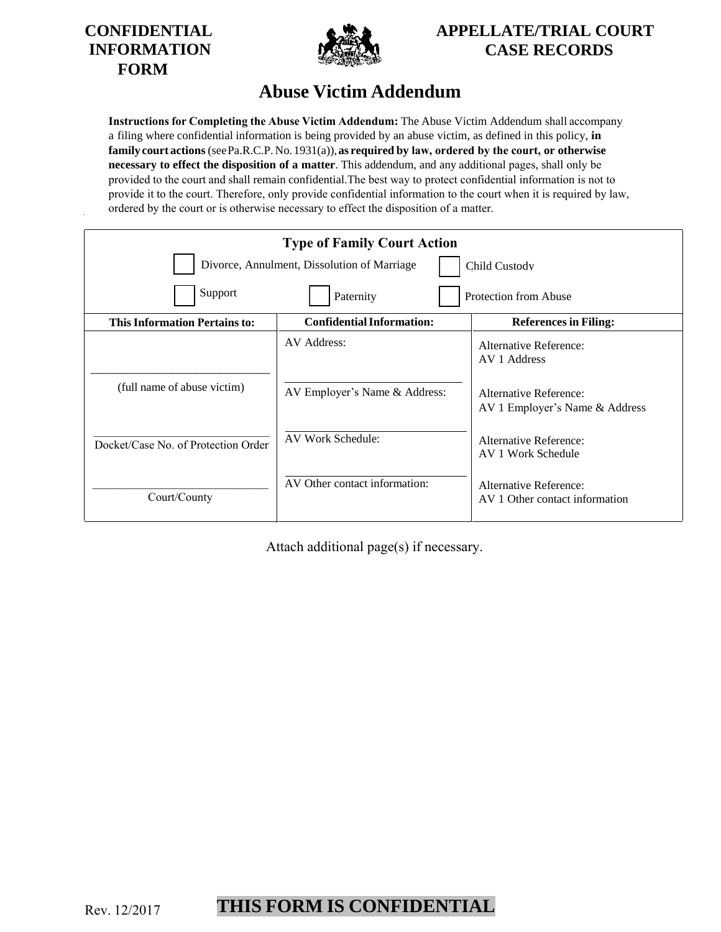



# **APPELLATE/TRIAL COURT CASE RECORDS**

# **Abuse Victim Addendum**

**Instructions for Completing the Abuse Victim Addendum:** The Abuse Victim Addendum shall accompany a filing where confidential information is being provided by an abuse victim, as defined in this policy, **in family court actions** (see Pa.R.C.P. No. 1931(a)), **as required by law, ordered by the court, or otherwise necessary to effect the disposition of a matter**. This addendum, and any additional pages, shall only be provided to the court and shall remain confidential.The best way to protect confidential information is not to provide it to the court. Therefore, only provide confidential information to the court when it is required by law, ordered by the court or is otherwise necessary to effect the disposition of a matter.

| <b>Type of Family Court Action</b>                           |                                  |                                                          |  |  |
|--------------------------------------------------------------|----------------------------------|----------------------------------------------------------|--|--|
| Divorce, Annulment, Dissolution of Marriage<br>Child Custody |                                  |                                                          |  |  |
| Support<br>Paternity<br>Protection from Abuse                |                                  |                                                          |  |  |
| <b>This Information Pertains to:</b>                         | <b>Confidential Information:</b> | <b>References in Filing:</b>                             |  |  |
|                                                              | AV Address:                      | Alternative Reference:<br>AV 1 Address                   |  |  |
| (full name of abuse victim)                                  | AV Employer's Name & Address:    | Alternative Reference:<br>AV 1 Employer's Name & Address |  |  |
| Docket/Case No. of Protection Order                          | AV Work Schedule:                | Alternative Reference:<br>AV 1 Work Schedule             |  |  |
| Court/County                                                 | AV Other contact information:    | Alternative Reference:<br>AV 1 Other contact information |  |  |

Attach additional page(s) if necessary.